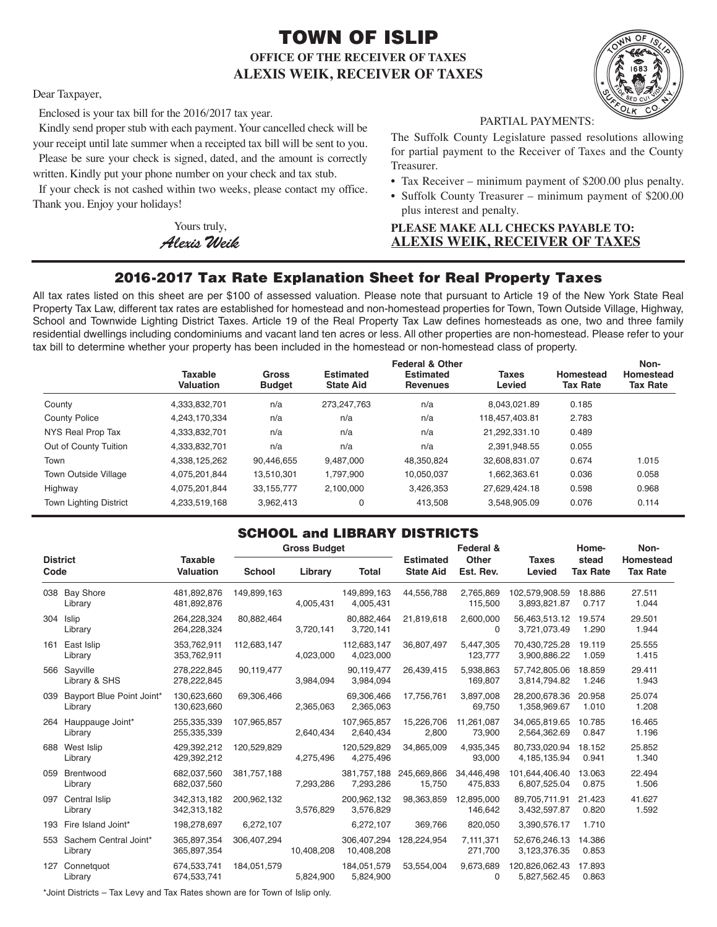# TOWN OF ISLIP **OFFICE OF THE RECEIVER OF TAXES ALEXIS WEIK, RECEIVER OF TAXES**



Dear Taxpayer,

Enclosed is your tax bill for the 2016/2017 tax year.

Kindly send proper stub with each payment. Your cancelled check will be your receipt until late summer when a receipted tax bill will be sent to you. Please be sure your check is signed, dated, and the amount is correctly

written. Kindly put your phone number on your check and tax stub.

If your check is not cashed within two weeks, please contact my office. Thank you. Enjoy your holidays!

> Yours truly, *AlexisWeik*

PARTIAL PAYMENTS:

The Suffolk County Legislature passed resolutions allowing for partial payment to the Receiver of Taxes and the County Treasurer.

- Tax Receiver minimum payment of \$200.00 plus penalty.
- Suffolk County Treasurer minimum payment of \$200.00 plus interest and penalty.

### **PLEASE MAKE ALL CHECKS PAYABLE TO: ALEXIS WEIK, RECEIVER OF TAXES**

## 2016-2017 Tax Rate Explanation Sheet for Real Property Taxes

All tax rates listed on this sheet are per \$100 of assessed valuation. Please note that pursuant to Article 19 of the New York State Real Property Tax Law, different tax rates are established for homestead and non-homestead properties for Town, Town Outside Village, Highway, School and Townwide Lighting District Taxes. Article 19 of the Real Property Tax Law defines homesteads as one, two and three family residential dwellings including condominiums and vacant land ten acres or less. All other properties are non-homestead. Please refer to your tax bill to determine whether your property has been included in the homestead or non-homestead class of property.

|                               | <b>Taxable</b><br>Valuation | <b>Gross</b><br><b>Budget</b> | <b>Estimated</b><br><b>State Aid</b> | <b>Federal &amp; Other</b><br><b>Estimated</b><br><b>Revenues</b> | <b>Taxes</b><br>Levied | Homestead<br><b>Tax Rate</b> | Non-<br>Homestead<br><b>Tax Rate</b> |
|-------------------------------|-----------------------------|-------------------------------|--------------------------------------|-------------------------------------------------------------------|------------------------|------------------------------|--------------------------------------|
| County                        | 4,333,832,701               | n/a                           | 273,247,763                          | n/a                                                               | 8.043.021.89           | 0.185                        |                                      |
| <b>County Police</b>          | 4,243,170,334               | n/a                           | n/a                                  | n/a                                                               | 118,457,403.81         | 2.783                        |                                      |
| NYS Real Prop Tax             | 4,333,832,701               | n/a                           | n/a                                  | n/a                                                               | 21,292,331.10          | 0.489                        |                                      |
| Out of County Tuition         | 4.333.832.701               | n/a                           | n/a                                  | n/a                                                               | 2.391.948.55           | 0.055                        |                                      |
| Town                          | 4.338.125.262               | 90.446.655                    | 9.487.000                            | 48.350.824                                                        | 32.608.831.07          | 0.674                        | 1.015                                |
| <b>Town Outside Village</b>   | 4,075,201,844               | 13,510,301                    | 1,797,900                            | 10,050,037                                                        | 1,662,363.61           | 0.036                        | 0.058                                |
| Highway                       | 4,075,201,844               | 33,155,777                    | 2.100.000                            | 3,426,353                                                         | 27.629.424.18          | 0.598                        | 0.968                                |
| <b>Town Lighting District</b> | 4,233,519,168               | 3,962,413                     | 0                                    | 413.508                                                           | 3.548.905.09           | 0.076                        | 0.114                                |

### SCHOOL and LIBRARY DISTRICTS

|                                      |                                                                                                                                                                                             | <b>Gross Budget</b> |            |                          |                                      | Federal &             |                        | Home-           | Non-                                                                                                                                                                                                                                                                                                                                                                   |
|--------------------------------------|---------------------------------------------------------------------------------------------------------------------------------------------------------------------------------------------|---------------------|------------|--------------------------|--------------------------------------|-----------------------|------------------------|-----------------|------------------------------------------------------------------------------------------------------------------------------------------------------------------------------------------------------------------------------------------------------------------------------------------------------------------------------------------------------------------------|
|                                      | Valuation                                                                                                                                                                                   | <b>School</b>       | Library    | <b>Total</b>             | <b>Estimated</b><br><b>State Aid</b> | Est. Rev.             | <b>Taxes</b><br>Levied | <b>Tax Rate</b> | Homestead<br><b>Tax Rate</b>                                                                                                                                                                                                                                                                                                                                           |
| Library                              | 481,892,876<br>481,892,876                                                                                                                                                                  | 149,899,163         | 4,005,431  | 149,899,163<br>4,005,431 | 44,556,788                           | 2,765,869<br>115,500  | 3,893,821.87           | 18.886<br>0.717 | 27.511<br>1.044                                                                                                                                                                                                                                                                                                                                                        |
| Library                              | 264.228.324<br>264,228,324                                                                                                                                                                  | 80,882,464          | 3,720,141  | 80,882,464<br>3,720,141  | 21,819,618                           | 2,600,000<br>$\Omega$ |                        | 19.574<br>1.290 | 29.501<br>1.944                                                                                                                                                                                                                                                                                                                                                        |
| East Islip<br>Library                | 353.762.911<br>353,762,911                                                                                                                                                                  | 112,683,147         | 4,023,000  | 112.683.147<br>4,023,000 | 36,807,497                           | 5,447,305<br>123,777  |                        | 19.119<br>1.059 | 25.555<br>1.415                                                                                                                                                                                                                                                                                                                                                        |
| Library & SHS                        | 278.222.845<br>278,222,845                                                                                                                                                                  | 90,119,477          | 3,984,094  | 90,119,477<br>3,984,094  | 26,439,415                           | 5.938.863<br>169,807  |                        | 18.859<br>1.246 | 29.411<br>1.943                                                                                                                                                                                                                                                                                                                                                        |
| Bayport Blue Point Joint*<br>Library | 130,623,660<br>130,623,660                                                                                                                                                                  | 69,306,466          | 2,365,063  | 69,306,466<br>2,365,063  | 17,756,761                           | 3,897,008<br>69,750   |                        | 20.958<br>1.010 | 25.074<br>1.208                                                                                                                                                                                                                                                                                                                                                        |
| Library                              | 255.335.339<br>255,335,339                                                                                                                                                                  | 107,965,857         | 2,640,434  | 107,965,857<br>2,640,434 | 15,226,706<br>2,800                  | 11.261.087<br>73,900  |                        | 10.785<br>0.847 | 16.465<br>1.196                                                                                                                                                                                                                                                                                                                                                        |
| Library                              | 429,392,212<br>429,392,212                                                                                                                                                                  | 120,529,829         | 4,275,496  | 120,529,829<br>4,275,496 | 34,865,009                           | 4,935,345<br>93,000   |                        | 18.152<br>0.941 | 25.852<br>1.340                                                                                                                                                                                                                                                                                                                                                        |
| Brentwood<br>Library                 | 682,037,560<br>682,037,560                                                                                                                                                                  | 381,757,188         | 7,293,286  | 381,757,188<br>7,293,286 | 245,669,866<br>15,750                | 34,446,498<br>475,833 |                        | 13.063<br>0.875 | 22.494<br>1.506                                                                                                                                                                                                                                                                                                                                                        |
| Library                              | 342,313,182<br>342,313,182                                                                                                                                                                  | 200,962,132         | 3,576,829  | 200,962,132<br>3,576,829 | 98,363,859                           | 12,895,000<br>146,642 |                        | 21.423<br>0.820 | 41.627<br>1.592                                                                                                                                                                                                                                                                                                                                                        |
|                                      | 198,278,697                                                                                                                                                                                 | 6,272,107           |            | 6,272,107                | 369.766                              | 820,050               | 3,390,576.17           | 1.710           |                                                                                                                                                                                                                                                                                                                                                                        |
| Library                              | 365,897,354<br>365,897,354                                                                                                                                                                  | 306,407,294         | 10,408,208 | 10,408,208               | 128,224,954                          | 7,111,371<br>271,700  |                        | 14.386<br>0.853 |                                                                                                                                                                                                                                                                                                                                                                        |
| Connetquot<br>Library                | 674,533,741<br>674,533,741                                                                                                                                                                  | 184,051,579         | 5,824,900  | 184,051,579<br>5,824,900 | 53,554,004                           | 9,673,689<br>$\Omega$ |                        | 17.893<br>0.863 |                                                                                                                                                                                                                                                                                                                                                                        |
| 161<br>039<br>059<br>127             | <b>District</b><br>Code<br>038 Bay Shore<br>304 Islip<br>566 Sayville<br>264 Hauppauge Joint*<br>688 West Islip<br>097 Central Islip<br>193 Fire Island Joint*<br>553 Sachem Central Joint* | <b>Taxable</b>      |            |                          |                                      | 306,407,294           | Other                  |                 | stead<br>102,579,908.59<br>56,463,513.12<br>3,721,073.49<br>70.430.725.28<br>3,900,886.22<br>57.742.805.06<br>3,814,794.82<br>28.200.678.36<br>1,358,969.67<br>34.065.819.65<br>2,564,362.69<br>80,733,020.94<br>4, 185, 135. 94<br>101,644,406.40<br>6,807,525.04<br>89,705,711.91<br>3,432,597.87<br>52,676,246.13<br>3,123,376.35<br>120,826,062.43<br>5,827,562.45 |

\*Joint Districts – Tax Levy and Tax Rates shown are for Town of Islip only.